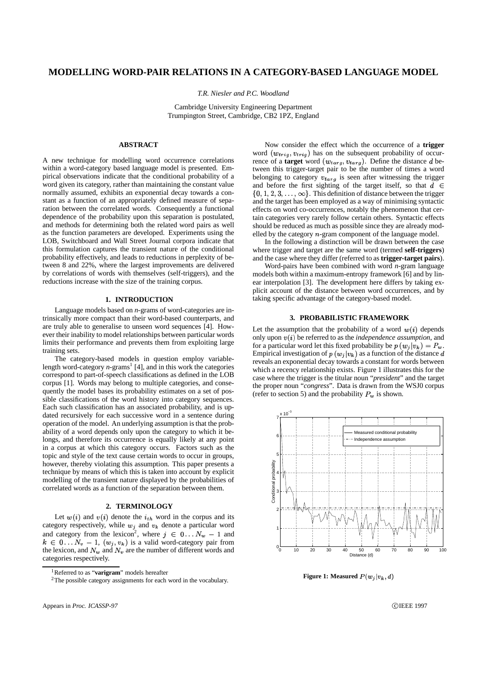# **MODELLING WORD-PAIR RELATIONS IN A CATEGORY-BASED LANGUAGE MODEL**

*T.R. Niesler and P.C. Woodland*

Cambridge University Engineering Department Trumpington Street, Cambridge, CB2 1PZ, England

## **ABSTRACT**

A new technique for modelling word occurrence correlations within a word-category based language model is presented. Empirical observations indicate that the conditional probability of a word given its category, rather than maintaining the constant value normally assumed, exhibits an exponential decay towards a constant as a function of an appropriately defined measure of separation between the correlated words. Consequently a functional dependence of the probability upon this separation is postulated, and methods for determining both the related word pairs as well as the function parameters are developed. Experiments using the LOB, Switchboard and Wall Street Journal corpora indicate that this formulation captures the transient nature of the conditional probability effectively, and leads to reductions in perplexity of between 8 and 22%, where the largest improvements are delivered by correlations of words with themselves (self-triggers), and the reductions increase with the size of the training corpus.

## **1. INTRODUCTION**

Language models based on *n*-grams of word-categories are intrinsically more compact than their word-based counterparts, and are truly able to generalise to unseen word sequences [4]. However their inability to model relationships between particular words limits their performance and prevents them from exploiting large training sets.

The category-based models in question employ variablelength word-category *n*-grams<sup>1</sup> [4], and in this work the categories correspond to part-of-speech classifications as defined in the LOB corpus [1]. Words may belong to multiple categories, and consequently the model bases its probability estimates on a set of possible classifications of the word history into category sequences. Each such classification has an associated probability, and is updated recursively for each successive word in a sentence during operation of the model. An underlying assumption is that the probability of a word depends only upon the category to which it belongs, and therefore its occurrence is equally likely at any point in a corpus at which this category occurs. Factors such as the topic and style of the text cause certain words to occur in groups, however, thereby violating this assumption. This paper presents a technique by means of which this is taken into account by explicit modelling of the transient nature displayed by the probabilities of correlated words as a function of the separation between them.

#### **2. TERMINOLOGY**

Let  $w(i)$  and  $v(i)$  denote the  $i_{th}$  word in the corpus and its category respectively, while  $w_i$  and  $v_k$  denote a particular word and category from the lexicon<sup>2</sup>, where  $j \in 0...N_w - 1$  and  $k \in 0...N_v - 1$ ,  $(w_j, v_k)$  is a valid word-category pair from the lexicon, and  $N_w$  and  $N_v$  are the number of different words and categories respectively.

Now consider the effect which the occurrence of a **trigger** word  $(w_{trig}, v_{trig})$  has on the subsequent probability of occurrence of a **target** word  $(w_{targ}, v_{targ})$ . Define the distance d between this trigger-target pair to be the number of times a word belonging to category  $v_{\text{tar }g}$  is seen after witnessing the trigger and before the first sighting of the target itself, so that  $d \in$  $\{0, 1, 2, 3, \ldots, \infty\}$ . This definition of distance between the trigger and the target has been employed as a way of minimising syntactic effects on word co-occurrences, notably the phenomenon that certain categories very rarely follow certain others. Syntactic effects should be reduced as much as possible since they are already modelled by the category  $n$ -gram component of the language model.

In the following a distinction will be drawn between the case where trigger and target are the same word (termed **self-triggers**) and the case where they differ (referred to as **trigger-target pairs**).

Word-pairs have been combined with word *n*-gram language models both within a maximum-entropy framework [6] and by linear interpolation [3]. The development here differs by taking explicit account of the distance between word occurrences, and by taking specific advantage of the category-based model.

## **3. PROBABILISTIC FRAMEWORK**

Let the assumption that the probability of a word  $w(i)$  depends only upon  $v(i)$  be referred to as the *independence assumption*, and for a particular word let this fixed probability be  $p(w_j|v_k) = P_w$ . Empirical investigation of  $p(w_j|v_k)$  as a function of the distance  $d$ reveals an exponential decay towards a constant for words between which a recency relationship exists. Figure 1 illustrates this for the case where the trigger is the titular noun "*president*" and the target the proper noun "*congress*". Data is drawn from the WSJ0 corpus (refer to section 5) and the probability  $P_w$  is shown.



**Figure 1: Measured**  $P(w_i|v_k, d)$ 

**C**IEEE 1997

<sup>1</sup>Referred to as "**varigram**" models hereafter

<sup>2</sup>The possible category assignments for each word in the vocabulary.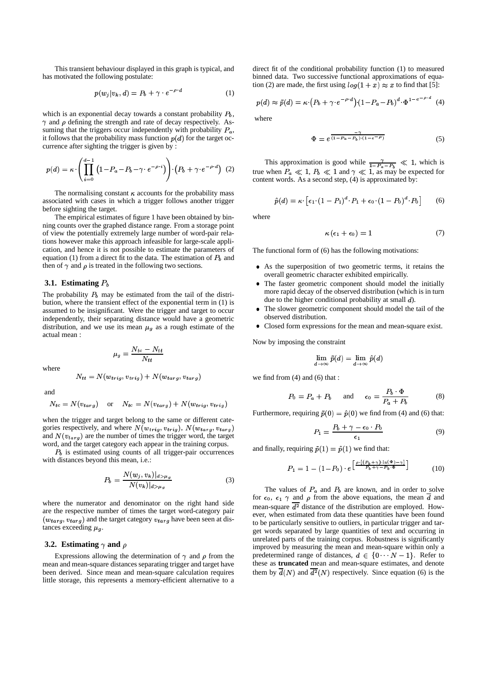This transient behaviour displayed in this graph is typical, and has motivated the following postulate:

$$
p(w_j|v_k, d) = P_b + \gamma \cdot e^{-\rho \cdot d} \tag{1}
$$

which is an exponential decay towards a constant probability  $P_b$ ,  $\gamma$  and  $\rho$  defining the strength and rate of decay respectively. Assuming that the triggers occur independently with probability  $P_a$ , it follows that the probability mass function  $p(d)$  for the target occurrence after sighting the trigger is given by :

$$
p(d) = \kappa \cdot \left( \prod_{i=0}^{d-1} \left( 1 - P_a - P_b - \gamma \cdot e^{-\rho \cdot i} \right) \right) \cdot \left( P_b + \gamma \cdot e^{-\rho \cdot d} \right) (2)
$$

The normalising constant  $\kappa$  accounts for the probability mass associated with cases in which a trigger follows another trigger before sighting the target.

The empirical estimates of figure 1 have been obtained by binning counts over the graphed distance range. From a storage point of view the potentially extremely large number of word-pair relations however make this approach infeasible for large-scale application, and hence it is not possible to estimate the parameters of equation (1) from a direct fit to the data. The estimation of  $P_b$  and then of  $\gamma$  and  $\rho$  is treated in the following two sections.

### **3.1. Estimating**  $P_b$

The probability  $P_b$  may be estimated from the tail of the distribution, where the transient effect of the exponential term in (1) is assumed to be insignificant. Were the trigger and target to occur independently, their separating distance would have a geometric distribution, and we use its mean  $\mu<sub>g</sub>$  as a rough estimate of the actual mean :

$$
\mu_g = \frac{N_{tc}-N_{tt}}{N_{tt}}
$$

where

$$
N_{tt} = N(w_{trig}, v_{trig}) + N(w_{targ}, v_{targ})
$$

and

$$
N_{tc} = N(v_{targ})
$$
 or  $N_{tc} = N(v_{targ}) + N(w_{trig}, v_{trig})$ 

when the trigger and target belong to the same or different categories respectively, and where  $N(w_{trig}, v_{trig})$ ,  $N(w_{targ}, v_{targ})$ and  $N(v_{targ})$  are the number of times the trigger word, the target word, and the target category each appear in the training corpus.

 $P_b$  is estimated using counts of all trigger-pair occurrences with distances beyond this mean, i.e.:

$$
P_b = \frac{N(w_j, v_k)|_{d > \mu_g}}{N(v_k)|_{d > \mu_g}}
$$
(3)

where the numerator and denominator on the right hand side are the respective number of times the target word-category pair  $(w_{targ}, v_{targ})$  and the target category  $v_{targ}$  have been seen at distances exceeding  $\mu_g$ .

## **3.2. Estimating**  $\gamma$  **and**  $\rho$

Expressions allowing the determination of  $\gamma$  and  $\rho$  from the mean and mean-square distances separating trigger and target have been derived. Since mean and mean-square calculation requires little storage, this represents a memory-efficient alternative to a

direct fit of the conditional probability function (1) to measured binned data. Two successive functional approximations of equation (2) are made, the first using  $log(1 + x) \approx x$  to find that [5]:

$$
p(d) \approx \tilde{p}(d) = \kappa \cdot (P_b + \gamma \cdot e^{-\rho \cdot d}) \cdot (1 - P_a - P_b)^d \cdot \Phi^{1 - e^{-\rho \cdot d}} \quad (4)
$$

where

$$
\Phi = e^{\frac{-\gamma}{(1 - P_a - P_b) \cdot (1 - e^{-\rho})}}
$$
\n(5)

This approximation is good while  $\frac{\gamma}{1 - P_a - P_b} \ll 1$ , which is true when  $P_a \ll 1$ ,  $P_b \ll 1$  and  $\gamma \ll 1$ , as may be expected for content words. As a second step, (4) is approximated by:

$$
\hat{p}(d) = \kappa \cdot \left[ \epsilon_1 \cdot (1 - P_1)^d \cdot P_1 + \epsilon_0 \cdot (1 - P_0)^d \cdot P_0 \right] \tag{6}
$$

where

$$
\kappa \left( \epsilon_1 + \epsilon_0 \right) = 1 \tag{7}
$$

The functional form of (6) has the following motivations:

- As the superposition of two geometric terms, it retains the overall geometric character exhibited empirically.
- The faster geometric component should model the initially more rapid decay of the observed distribution (which is in turn due to the higher conditional probability at small  $d$ ).
- The slower geometric component should model the tail of the observed distribution.
- Closed form expressions for the mean and mean-square exist.

Now by imposing the constraint

$$
\lim_{d\to\infty}\tilde{p}(d)=\lim_{d\to\infty}\hat{p}(d)
$$

we find from (4) and (6) that :

$$
P_0 = P_a + P_b \quad \text{and} \quad \epsilon_0 = \frac{P_b \cdot \Phi}{P_a + P_b} \tag{8}
$$

Furthermore, requiring  $\tilde{p}(0) = \hat{p}(0)$  we find from (4) and (6) that:

$$
P_1 = \frac{P_b + \gamma - \epsilon_0 \cdot P_0}{\epsilon_1} \tag{9}
$$

and finally, requiring  $\tilde{p}(1) = \hat{p}(1)$  we find that:

$$
P_1 = 1 - (1 - P_0) \cdot e^{\left[\frac{\rho \cdot [(P_b + \gamma) \cdot \ln(\Phi) - \gamma]}{P_b + \gamma - P_b \cdot \Phi}\right]}
$$
(10)

The values of  $P_a$  and  $P_b$  are known, and in order to solve for  $\epsilon_0$ ,  $\epsilon_1$   $\gamma$  and  $\rho$  from the above equations, the mean d and mean-square  $\overline{d^2}$  distance of the distribution are employed. However, when estimated from data these quantities have been found to be particularly sensitive to outliers, in particular trigger and target words separated by large quantities of text and occurring in unrelated parts of the training corpus. Robustness is significantly improved by measuring the mean and mean-square within only a predetermined range of distances,  $d \in \{0 \cdots N-1\}$ . Refer to these as **truncated** mean and mean-square estimates, and denote them by  $d(N)$  and  $d^2(N)$  respectively. Since equation (6) is the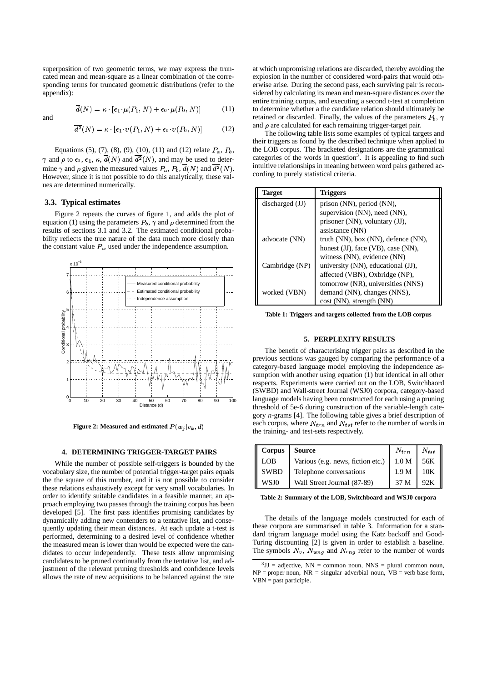superposition of two geometric terms, we may express the truncated mean and mean-square as a linear combination of the corresponding terms for truncated geometric distributions (refer to the appendix):

$$
\overline{d}(N) = \kappa \cdot [\epsilon_1 \cdot \mu(P_1, N) + \epsilon_0 \cdot \mu(P_0, N)] \tag{11}
$$

and

$$
\overline{d^2}(N) = \kappa \cdot [\epsilon_1 \cdot v(P_1, N) + \epsilon_0 \cdot v(P_0, N)] \tag{12}
$$

Equations (5), (7), (8), (9), (10), (11) and (12) relate  $P_a$ ,  $P_b$ ,  $\gamma$  and  $\rho$  to  $\epsilon_0, \epsilon_1, \kappa, d(N)$  and  $d^2(N),$  and may be used to determine  $\gamma$  and  $\rho$  given the measured values  $P_a$ ,  $P_b$ ,  $\overline{d}(N)$  and  $d^2(N)$ . However, since it is not possible to do this analytically, these values are determined numerically.

## **3.3. Typical estimates**

Figure 2 repeats the curves of figure 1, and adds the plot of equation (1) using the parameters  $P_b$ ,  $\gamma$  and  $\rho$  determined from the results of sections 3.1 and 3.2. The estimated conditional probability reflects the true nature of the data much more closely than the constant value  $P_w$  used under the independence assumption.



**Figure 2: Measured** and **estimated**  $P(w_j|v_k, d)$ 

### **4. DETERMINING TRIGGER-TARGET PAIRS**

While the number of possible self-triggers is bounded by the vocabulary size, the number of potential trigger-target pairs equals the the square of this number, and it is not possible to consider these relations exhaustively except for very small vocabularies. In order to identify suitable candidates in a feasible manner, an approach employing two passes through the training corpus has been developed [5]. The first pass identifies promising candidates by dynamically adding new contenders to a tentative list, and consequently updating their mean distances. At each update a t-test is performed, determining to a desired level of confidence whether the measured mean is lower than would be expected were the candidates to occur independently. These tests allow unpromising candidates to be pruned continually from the tentative list, and adjustment of the relevant pruning thresholds and confidence levels allows the rate of new acquisitions to be balanced against the rate at which unpromising relations are discarded, thereby avoiding the explosion in the number of considered word-pairs that would otherwise arise. During the second pass, each surviving pair is reconsidered by calculating its mean and mean-square distances over the entire training corpus, and executing a second t-test at completion to determine whether a the candidate relation should ultimately be retained or discarded. Finally, the values of the parameters  $P_b$ ,  $\gamma$ and  $\rho$  are calculated for each remaining trigger-target pair.

The following table lists some examples of typical targets and their triggers as found by the described technique when applied to the LOB corpus. The bracketed designations are the grammatical categories of the words in question<sup>3</sup>. It is appealing to find such intuitive relationships in meaning between word pairs gathered according to purely statistical criteria.

| <b>Target</b>   | <b>Triggers</b>                              |
|-----------------|----------------------------------------------|
| discharged (JJ) | prison (NN), period (NN),                    |
|                 | supervision (NN), need (NN),                 |
|                 | prisoner (NN), voluntary (JJ),               |
|                 | assistance (NN)                              |
| advocate (NN)   | truth $(NN)$ , box $(NN)$ , defence $(NN)$ , |
|                 | honest (JJ), face (VB), case (NN),           |
|                 | witness (NN), evidence (NN)                  |
| Cambridge (NP)  | university (NN), educational (JJ),           |
|                 | affected (VBN), Oxbridge (NP),               |
|                 | tomorrow (NR), universities (NNS)            |
| worked (VBN)    | demand (NN), changes (NNS),                  |
|                 | cost (NN), strength (NN)                     |

**Table 1: Triggers and targets collected from the LOB corpus**

## **5. PERPLEXITY RESULTS**

The benefit of characterising trigger pairs as described in the previous sections was gauged by comparing the performance of a category-based language model employing the independence assumption with another using equation (1) but identical in all other respects. Experiments were carried out on the LOB, Switchbaord (SWBD) and Wall-street Journal (WSJ0) corpora, category-based language models having been constructed for each using a pruning threshold of 5e-6 during construction of the variable-length category *n*-grams [4]. The following table gives a brief description of each corpus, where  $N_{trn}$  and  $N_{tst}$  refer to the number of words in the training- and test-sets respectively.

| Corpus      | Source                            | $N_{trn}$        | $N_{tst}$ |
|-------------|-----------------------------------|------------------|-----------|
| <b>LOB</b>  | Various (e.g. news, fiction etc.) | 1.0 <sub>M</sub> | 56K       |
| <b>SWBD</b> | Telephone conversations           | 1.9 <sub>M</sub> | 10K       |
| WSJ0        | Wall Street Journal (87-89)       | 37 M             |           |

**Table 2: Summary of the LOB, Switchboard and WSJ0 corpora**

The details of the language models constructed for each of these corpora are summarised in table 3. Information for a standard trigram language model using the Katz backoff and Good-Turing discounting [2] is given in order to establish a baseline. The symbols  $N_v$ ,  $N_{wng}$  and  $N_{cng}$  refer to the number of words

 $3JJ =$  adjective, NN = common noun, NNS = plural common noun,  $NP = proper noun, NR = singular adverbial noun, VB = verb base form,$ VBN = past participle.